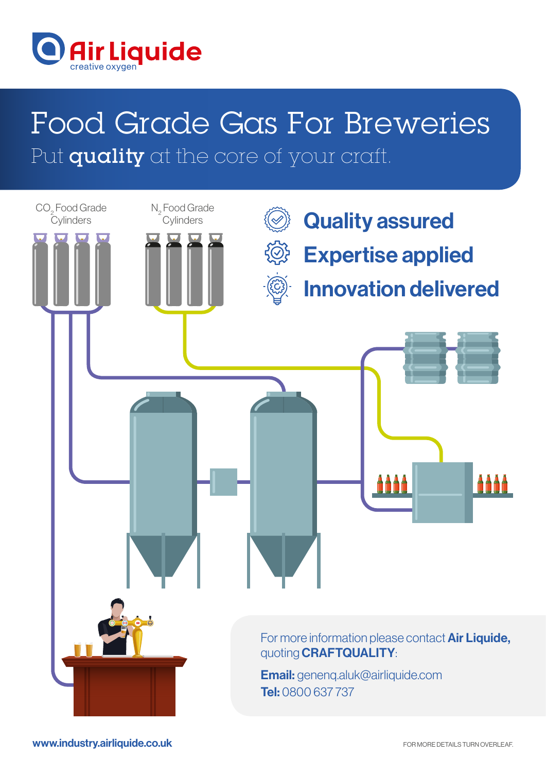

# Food Grade Gas For Breweries Put quality at the core of your craft.